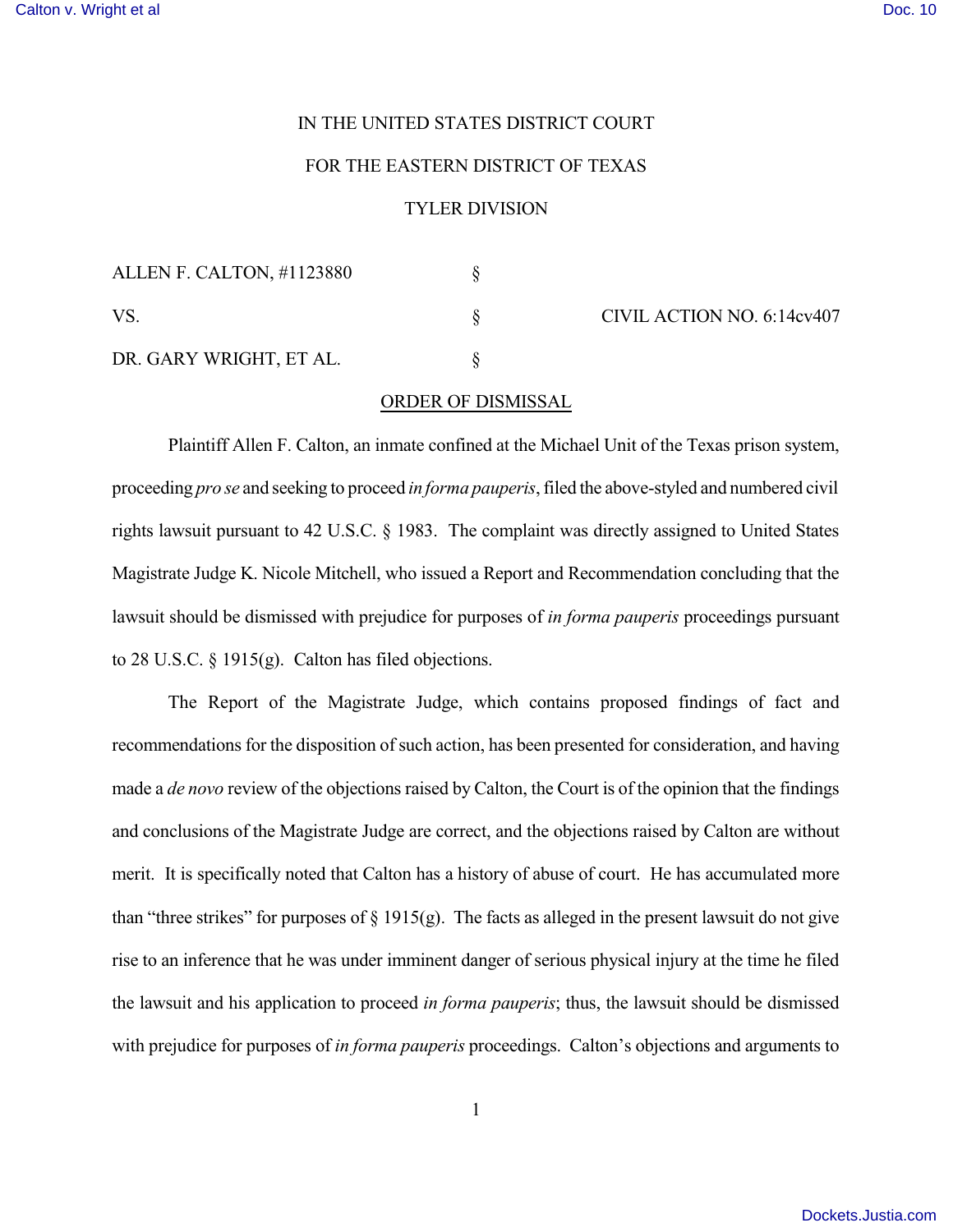## IN THE UNITED STATES DISTRICT COURT

## FOR THE EASTERN DISTRICT OF TEXAS

## TYLER DIVISION

| ALLEN F. CALTON, #1123880 |  |
|---------------------------|--|
| VS.                       |  |
| DR. GARY WRIGHT, ET AL.   |  |

 $\S$  CIVIL ACTION NO. 6:14cv407

## ORDER OF DISMISSAL

Plaintiff Allen F. Calton, an inmate confined at the Michael Unit of the Texas prison system, proceeding *pro se* and seeking to proceed *in forma pauperis*, filed the above-styled and numbered civil rights lawsuit pursuant to 42 U.S.C. § 1983. The complaint was directly assigned to United States Magistrate Judge K. Nicole Mitchell, who issued a Report and Recommendation concluding that the lawsuit should be dismissed with prejudice for purposes of *in forma pauperis* proceedings pursuant to 28 U.S.C. § 1915(g). Calton has filed objections.

The Report of the Magistrate Judge, which contains proposed findings of fact and recommendations for the disposition of such action, has been presented for consideration, and having made a *de novo* review of the objections raised by Calton, the Court is of the opinion that the findings and conclusions of the Magistrate Judge are correct, and the objections raised by Calton are without merit. It is specifically noted that Calton has a history of abuse of court. He has accumulated more than "three strikes" for purposes of  $\S 1915(g)$ . The facts as alleged in the present lawsuit do not give rise to an inference that he was under imminent danger of serious physical injury at the time he filed the lawsuit and his application to proceed *in forma pauperis*; thus, the lawsuit should be dismissed with prejudice for purposes of *in forma pauperis* proceedings. Calton's objections and arguments to